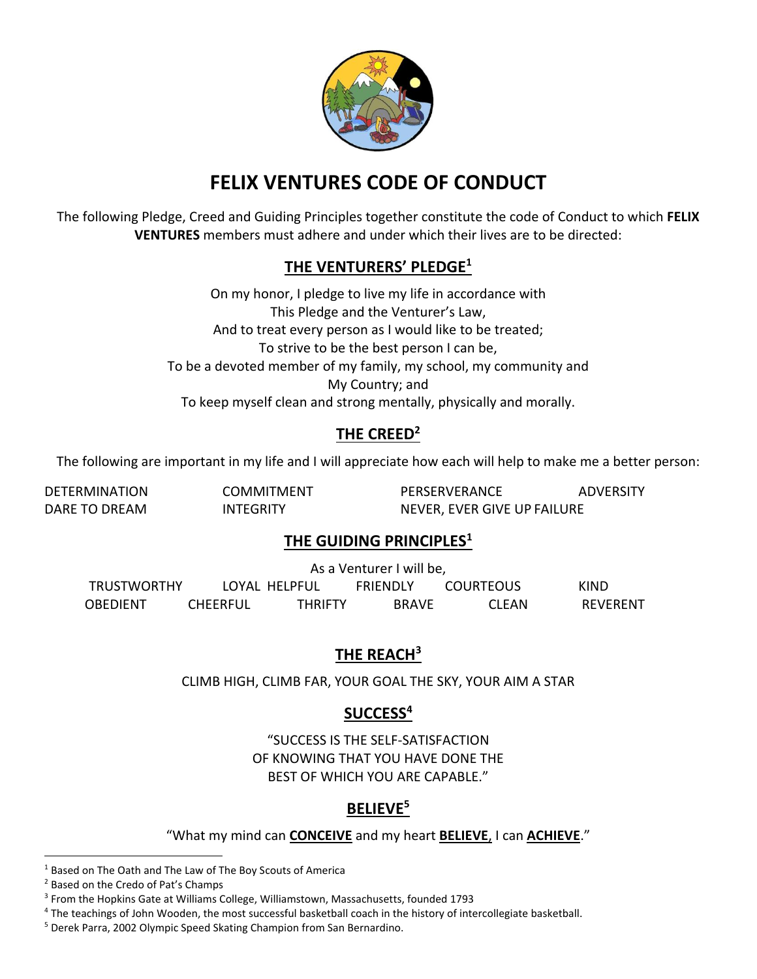

# **FELIX VENTURES CODE OF CONDUCT**

The following Pledge, Creed and Guiding Principles together constitute the code of Conduct to which **FELIX VENTURES** members must adhere and under which their lives are to be directed:

### **THE VENTURERS' PLEDGE<sup>1</sup>**

On my honor, I pledge to live my life in accordance with This Pledge and the Venturer's Law, And to treat every person as I would like to be treated; To strive to be the best person I can be, To be a devoted member of my family, my school, my community and My Country; and To keep myself clean and strong mentally, physically and morally.

## **THE CREED<sup>2</sup>**

The following are important in my life and I will appreciate how each will help to make me a better person:

| <b>DETERMINATION</b> | <b>COMMITMENT</b> | PERSERVERANCE               | <b>ADVERSITY</b> |
|----------------------|-------------------|-----------------------------|------------------|
| DARE TO DREAM        | <b>INTEGRITY</b>  | NEVER, EVER GIVE UP FAILURE |                  |

#### **THE GUIDING PRINCIPLES<sup>1</sup>**

As a Venturer I will be, TRUSTWORTHY LOYAL HELPFUL FRIENDLY COURTEOUS KIND OBEDIENT CHEERFUL THRIFTY BRAVE CLEAN REVERENT

## **THE REACH<sup>3</sup>**

CLIMB HIGH, CLIMB FAR, YOUR GOAL THE SKY, YOUR AIM A STAR

#### **SUCCESS<sup>4</sup>**

"SUCCESS IS THE SELF-SATISFACTION OF KNOWING THAT YOU HAVE DONE THE BEST OF WHICH YOU ARE CAPABLE."

## **BELIEVE<sup>5</sup>**

#### "What my mind can **CONCEIVE** and my heart **BELIEVE**, I can **ACHIEVE**."

 $\overline{a}$ 

<sup>&</sup>lt;sup>1</sup> Based on The Oath and The Law of The Boy Scouts of America

<sup>2</sup> Based on the Credo of Pat's Champs

<sup>&</sup>lt;sup>3</sup> From the Hopkins Gate at Williams College, Williamstown, Massachusetts, founded 1793

<sup>4</sup> The teachings of John Wooden, the most successful basketball coach in the history of intercollegiate basketball.

<sup>5</sup> Derek Parra, 2002 Olympic Speed Skating Champion from San Bernardino.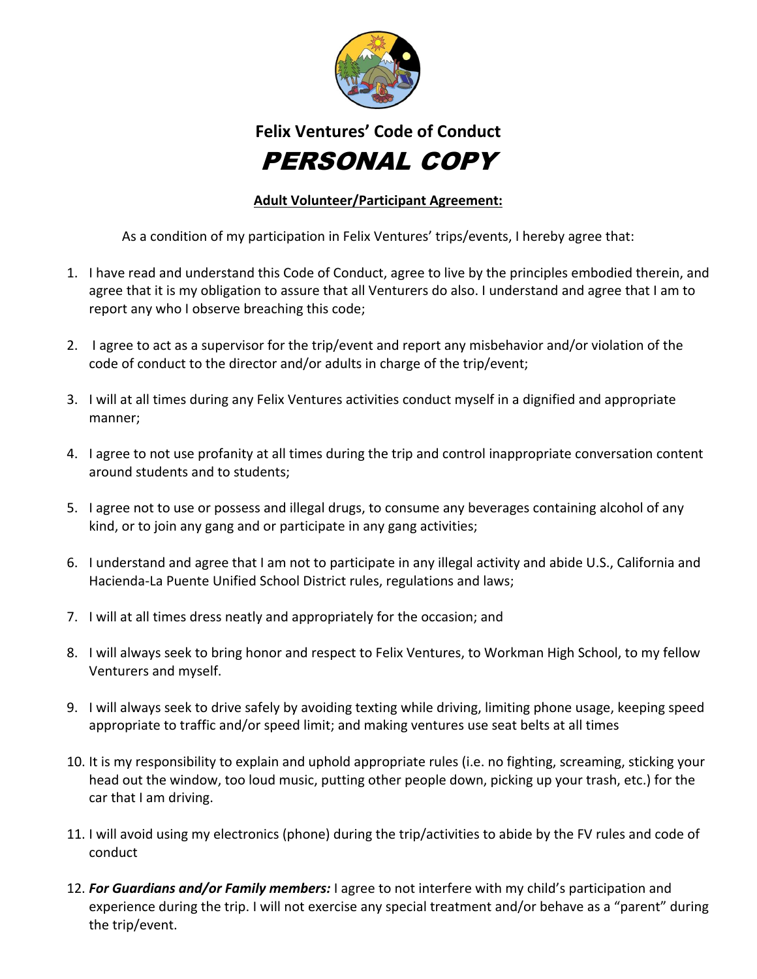

## **Felix Ventures' Code of Conduct** PERSONAL COPY

#### **Adult Volunteer/Participant Agreement:**

As a condition of my participation in Felix Ventures' trips/events, I hereby agree that:

- 1. I have read and understand this Code of Conduct, agree to live by the principles embodied therein, and agree that it is my obligation to assure that all Venturers do also. I understand and agree that I am to report any who I observe breaching this code;
- 2. I agree to act as a supervisor for the trip/event and report any misbehavior and/or violation of the code of conduct to the director and/or adults in charge of the trip/event;
- 3. I will at all times during any Felix Ventures activities conduct myself in a dignified and appropriate manner;
- 4. I agree to not use profanity at all times during the trip and control inappropriate conversation content around students and to students;
- 5. I agree not to use or possess and illegal drugs, to consume any beverages containing alcohol of any kind, or to join any gang and or participate in any gang activities;
- 6. I understand and agree that I am not to participate in any illegal activity and abide U.S., California and Hacienda-La Puente Unified School District rules, regulations and laws;
- 7. I will at all times dress neatly and appropriately for the occasion; and
- 8. I will always seek to bring honor and respect to Felix Ventures, to Workman High School, to my fellow Venturers and myself.
- 9. I will always seek to drive safely by avoiding texting while driving, limiting phone usage, keeping speed appropriate to traffic and/or speed limit; and making ventures use seat belts at all times
- 10. It is my responsibility to explain and uphold appropriate rules (i.e. no fighting, screaming, sticking your head out the window, too loud music, putting other people down, picking up your trash, etc.) for the car that I am driving.
- 11. I will avoid using my electronics (phone) during the trip/activities to abide by the FV rules and code of conduct
- 12. *For Guardians and/or Family members:* I agree to not interfere with my child's participation and experience during the trip. I will not exercise any special treatment and/or behave as a "parent" during the trip/event.